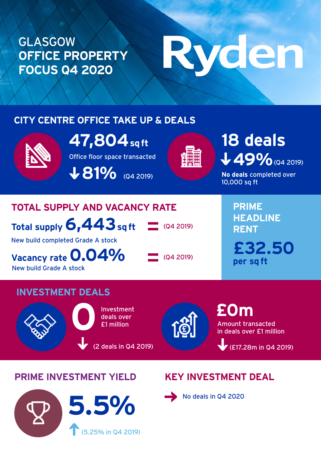### GLASGOW **OFFICE PROPERTY FOCUS Q4 2020**

# Ryden

### **CITY CENTRE OFFICE TAKE UP & DEALS**



Office floor space transacted **47,804 sq ft**

**V 81% (Q4 2019)** 



### A9% (Q4 2019) **18 deals**

**No deals** completed over 10,000 sq ft

### **TOTAL SUPPLY AND VACANCY RATE**

**Total supply 6,443 sq ft**

New build completed Grade A stock

**Vacancy rate 0.04%** New build Grade A stock

 $\sim$  (Q4 2019)

 $Q4 2019$ 

**PRIME HEADLINE RENT £32.50 per sq ft**

### **INVESTMENT DEALS**



Investment deals over<br>**121 million** 

(2 deals in Q4 2019)

Amount transacted in deals over £1 million **£0m** 

(£17.28m in Q4 2019)

### **PRIME INVESTMENT YIELD KEY INVESTMENT DEAL**

## (5.25% in Q4 2019) **5.5%**



No deals in Q4 2020